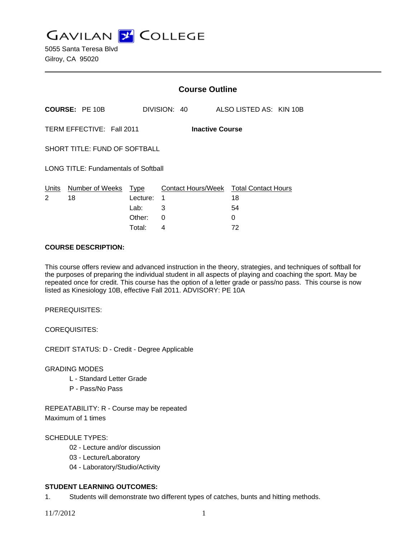**GAVILAN J COLLEGE** 

|                                                     |                       | <b>Course Outline</b>              |              |  |  |                                                         |  |  |
|-----------------------------------------------------|-----------------------|------------------------------------|--------------|--|--|---------------------------------------------------------|--|--|
|                                                     | <b>COURSE: PE 10B</b> |                                    | DIVISION: 40 |  |  | ALSO LISTED AS: KIN 10B                                 |  |  |
| TERM EFFECTIVE: Fall 2011<br><b>Inactive Course</b> |                       |                                    |              |  |  |                                                         |  |  |
| SHORT TITLE: FUND OF SOFTBALL                       |                       |                                    |              |  |  |                                                         |  |  |
| <b>LONG TITLE: Fundamentals of Softball</b>         |                       |                                    |              |  |  |                                                         |  |  |
| Units<br>2                                          | Number of Weeks<br>18 | Type<br>Lecture:<br>Lab:<br>Other: | 1<br>3<br>0  |  |  | Contact Hours/Week Total Contact Hours<br>18<br>54<br>0 |  |  |
|                                                     |                       |                                    |              |  |  |                                                         |  |  |

Total: 4 72

## **COURSE DESCRIPTION:**

This course offers review and advanced instruction in the theory, strategies, and techniques of softball for the purposes of preparing the individual student in all aspects of playing and coaching the sport. May be repeated once for credit. This course has the option of a letter grade or pass/no pass. This course is now listed as Kinesiology 10B, effective Fall 2011. ADVISORY: PE 10A

PREREQUISITES:

COREQUISITES:

CREDIT STATUS: D - Credit - Degree Applicable

GRADING MODES

- L Standard Letter Grade
- P Pass/No Pass

REPEATABILITY: R - Course may be repeated Maximum of 1 times

## SCHEDULE TYPES:

- 02 Lecture and/or discussion
- 03 Lecture/Laboratory
- 04 Laboratory/Studio/Activity

## **STUDENT LEARNING OUTCOMES:**

1. Students will demonstrate two different types of catches, bunts and hitting methods.

11/7/2012 1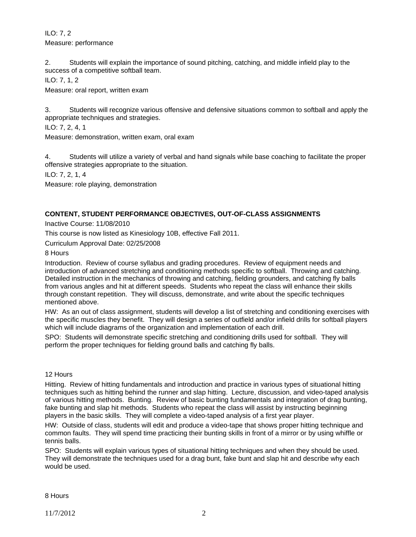ILO: 7, 2 Measure: performance

2. Students will explain the importance of sound pitching, catching, and middle infield play to the success of a competitive softball team.

ILO: 7, 1, 2

Measure: oral report, written exam

3. Students will recognize various offensive and defensive situations common to softball and apply the appropriate techniques and strategies.

ILO: 7, 2, 4, 1

Measure: demonstration, written exam, oral exam

4. Students will utilize a variety of verbal and hand signals while base coaching to facilitate the proper offensive strategies appropriate to the situation.

ILO: 7, 2, 1, 4

Measure: role playing, demonstration

## **CONTENT, STUDENT PERFORMANCE OBJECTIVES, OUT-OF-CLASS ASSIGNMENTS**

Inactive Course: 11/08/2010

This course is now listed as Kinesiology 10B, effective Fall 2011.

Curriculum Approval Date: 02/25/2008

8 Hours

Introduction. Review of course syllabus and grading procedures. Review of equipment needs and introduction of advanced stretching and conditioning methods specific to softball. Throwing and catching. Detailed instruction in the mechanics of throwing and catching, fielding grounders, and catching fly balls from various angles and hit at different speeds. Students who repeat the class will enhance their skills through constant repetition. They will discuss, demonstrate, and write about the specific techniques mentioned above.

HW: As an out of class assignment, students will develop a list of stretching and conditioning exercises with the specific muscles they benefit. They will design a series of outfield and/or infield drills for softball players which will include diagrams of the organization and implementation of each drill.

SPO: Students will demonstrate specific stretching and conditioning drills used for softball. They will perform the proper techniques for fielding ground balls and catching fly balls.

#### 12 Hours

Hitting. Review of hitting fundamentals and introduction and practice in various types of situational hitting techniques such as hitting behind the runner and slap hitting. Lecture, discussion, and video-taped analysis of various hitting methods. Bunting. Review of basic bunting fundamentals and integration of drag bunting, fake bunting and slap hit methods. Students who repeat the class will assist by instructing beginning players in the basic skills. They will complete a video-taped analysis of a first year player.

HW: Outside of class, students will edit and produce a video-tape that shows proper hitting technique and common faults. They will spend time practicing their bunting skills in front of a mirror or by using whiffle or tennis balls.

SPO: Students will explain various types of situational hitting techniques and when they should be used. They will demonstrate the techniques used for a drag bunt, fake bunt and slap hit and describe why each would be used.

8 Hours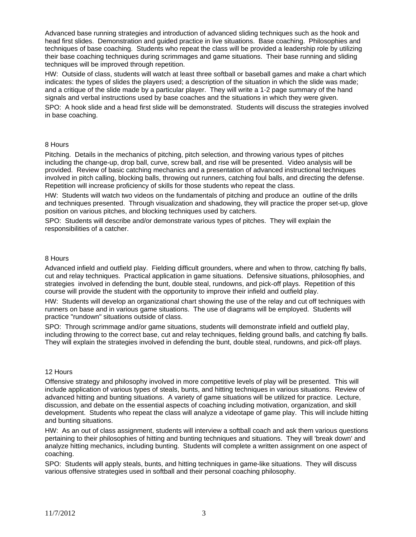Advanced base running strategies and introduction of advanced sliding techniques such as the hook and head first slides. Demonstration and guided practice in live situations. Base coaching. Philosophies and techniques of base coaching. Students who repeat the class will be provided a leadership role by utilizing their base coaching techniques during scrimmages and game situations. Their base running and sliding techniques will be improved through repetition.

HW: Outside of class, students will watch at least three softball or baseball games and make a chart which indicates: the types of slides the players used; a description of the situation in which the slide was made; and a critique of the slide made by a particular player. They will write a 1-2 page summary of the hand signals and verbal instructions used by base coaches and the situations in which they were given.

SPO: A hook slide and a head first slide will be demonstrated. Students will discuss the strategies involved in base coaching.

#### 8 Hours

Pitching. Details in the mechanics of pitching, pitch selection, and throwing various types of pitches including the change-up, drop ball, curve, screw ball, and rise will be presented. Video analysis will be provided. Review of basic catching mechanics and a presentation of advanced instructional techniques involved in pitch calling, blocking balls, throwing out runners, catching foul balls, and directing the defense. Repetition will increase proficiency of skills for those students who repeat the class.

HW: Students will watch two videos on the fundamentals of pitching and produce an outline of the drills and techniques presented. Through visualization and shadowing, they will practice the proper set-up, glove position on various pitches, and blocking techniques used by catchers.

SPO: Students will describe and/or demonstrate various types of pitches. They will explain the responsibilities of a catcher.

#### 8 Hours

Advanced infield and outfield play. Fielding difficult grounders, where and when to throw, catching fly balls, cut and relay techniques. Practical application in game situations. Defensive situations, philosophies, and strategies involved in defending the bunt, double steal, rundowns, and pick-off plays. Repetition of this course will provide the student with the opportunity to improve their infield and outfield play.

HW: Students will develop an organizational chart showing the use of the relay and cut off techniques with runners on base and in various game situations. The use of diagrams will be employed. Students will practice "rundown" situations outside of class.

SPO: Through scrimmage and/or game situations, students will demonstrate infield and outfield play, including throwing to the correct base, cut and relay techniques, fielding ground balls, and catching fly balls. They will explain the strategies involved in defending the bunt, double steal, rundowns, and pick-off plays.

#### 12 Hours

Offensive strategy and philosophy involved in more competitive levels of play will be presented. This will include application of various types of steals, bunts, and hitting techniques in various situations. Review of advanced hitting and bunting situations. A variety of game situations will be utilized for practice. Lecture, discussion, and debate on the essential aspects of coaching including motivation, organization, and skill development. Students who repeat the class will analyze a videotape of game play. This will include hitting and bunting situations.

HW: As an out of class assignment, students will interview a softball coach and ask them various questions pertaining to their philosophies of hitting and bunting techniques and situations. They will 'break down' and analyze hitting mechanics, including bunting. Students will complete a written assignment on one aspect of coaching.

SPO: Students will apply steals, bunts, and hitting techniques in game-like situations. They will discuss various offensive strategies used in softball and their personal coaching philosophy.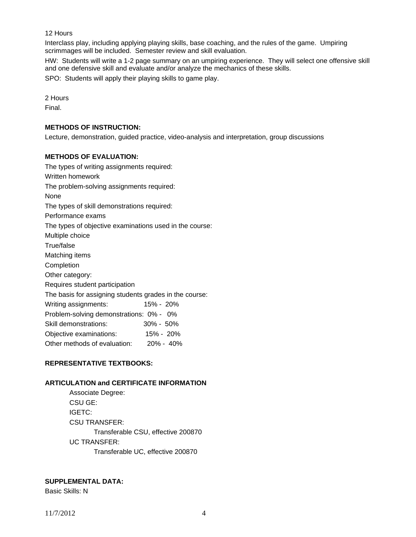# 12 Hours

Interclass play, including applying playing skills, base coaching, and the rules of the game. Umpiring scrimmages will be included. Semester review and skill evaluation.

HW: Students will write a 1-2 page summary on an umpiring experience. They will select one offensive skill and one defensive skill and evaluate and/or analyze the mechanics of these skills.

SPO: Students will apply their playing skills to game play.

2 Hours

Final.

### **METHODS OF INSTRUCTION:**

Lecture, demonstration, guided practice, video-analysis and interpretation, group discussions

### **METHODS OF EVALUATION:**

The types of writing assignments required: Written homework The problem-solving assignments required: None The types of skill demonstrations required: Performance exams The types of objective examinations used in the course: Multiple choice True/false Matching items Completion Other category: Requires student participation The basis for assigning students grades in the course: Writing assignments: 15% - 20% Problem-solving demonstrations: 0% - 0% Skill demonstrations: 30% - 50% Objective examinations: 15% - 20% Other methods of evaluation: 20% - 40%

## **REPRESENTATIVE TEXTBOOKS:**

## **ARTICULATION and CERTIFICATE INFORMATION**

 Associate Degree: CSU GE: IGETC: CSU TRANSFER: Transferable CSU, effective 200870 UC TRANSFER: Transferable UC, effective 200870

# **SUPPLEMENTAL DATA:**

Basic Skills: N

11/7/2012 4